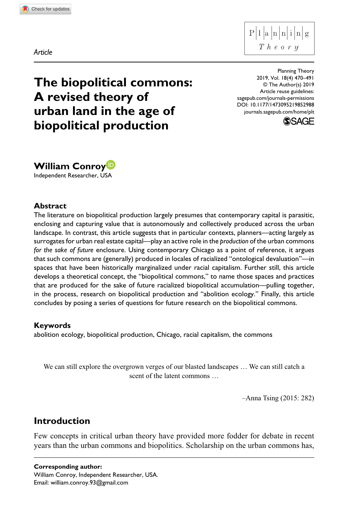**8529[88](http://crossmark.crossref.org/dialog/?doi=10.1177%2F1473095219852988&domain=pdf&date_stamp=2019-06-12)** PLT0010.1177/1473095219852988Planning Theory**Conroy**

 $P|1|a|n|n|i|n|g$ Theory

# **The biopolitical commons: A revised theory of urban land in the age of biopolitical production**

DOI: [10.1177/1473095219852988](https://doi.org/10.1177/1473095219852988) Planning Theory 2019, Vol. 18(4) 470–491 © The Author(s) 2019 Article reuse guidelines: [sagepub.com/journals-permissions](https://uk.sagepub.com/en-gb/journals-permissions) [journals.sagepub.com/home/plt](https://journals.sagepub.com/home/plt)





#### **Abstract**

The literature on biopolitical production largely presumes that contemporary capital is parasitic, enclosing and capturing value that is autonomously and collectively produced across the urban landscape. In contrast, this article suggests that in particular contexts, planners—acting largely as surrogates for urban real estate capital—play an active role in the *production* of the urban commons *for the sake of future* enclosure. Using contemporary Chicago as a point of reference, it argues that such commons are (generally) produced in locales of racialized "ontological devaluation"—in spaces that have been historically marginalized under racial capitalism. Further still, this article develops a theoretical concept, the "biopolitical commons," to name those spaces and practices that are produced for the sake of future racialized biopolitical accumulation—pulling together, in the process, research on biopolitical production and "abolition ecology." Finally, this article concludes by posing a series of questions for future research on the biopolitical commons.

## **Keywords**

abolition ecology, biopolitical production, Chicago, racial capitalism, the commons

We can still explore the overgrown verges of our blasted landscapes … We can still catch a scent of the latent commons …

–Anna Tsing (2015: 282)

# **Introduction**

Few concepts in critical urban theory have provided more fodder for debate in recent years than the urban commons and biopolitics. Scholarship on the urban commons has,

**Corresponding author:** William Conroy, Independent Researcher, USA. Email: [william.conroy.93@gmail.com](mailto:william.conroy.93@gmail.com)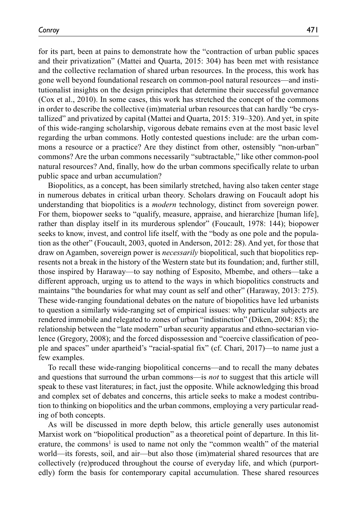for its part, been at pains to demonstrate how the "contraction of urban public spaces and their privatization" (Mattei and Quarta, 2015: 304) has been met with resistance and the collective reclamation of shared urban resources. In the process, this work has gone well beyond foundational research on common-pool natural resources—and institutionalist insights on the design principles that determine their successful governance (Cox et al., 2010). In some cases, this work has stretched the concept of the commons in order to describe the collective (im)material urban resources that can hardly "be crystallized" and privatized by capital (Mattei and Quarta, 2015: 319–320). And yet, in spite of this wide-ranging scholarship, vigorous debate remains even at the most basic level regarding the urban commons. Hotly contested questions include: are the urban commons a resource or a practice? Are they distinct from other, ostensibly "non-urban" commons? Are the urban commons necessarily "subtractable," like other common-pool natural resources? And, finally, how do the urban commons specifically relate to urban public space and urban accumulation?

Biopolitics, as a concept, has been similarly stretched, having also taken center stage in numerous debates in critical urban theory. Scholars drawing on Foucault adopt his understanding that biopolitics is a *modern* technology, distinct from sovereign power. For them, biopower seeks to "qualify, measure, appraise, and hierarchize [human life], rather than display itself in its murderous splendor" (Foucault, 1978: 144); biopower seeks to know, invest, and control life itself, with the "body as one pole and the population as the other" (Foucault, 2003, quoted in Anderson, 2012: 28). And yet, for those that draw on Agamben, sovereign power is *necessarily* biopolitical, such that biopolitics represents not a break in the history of the Western state but its foundation; and, further still, those inspired by Haraway—to say nothing of Esposito, Mbembe, and others—take a different approach, urging us to attend to the ways in which biopolitics constructs and maintains "the boundaries for what may count as self and other" (Haraway, 2013: 275). These wide-ranging foundational debates on the nature of biopolitics have led urbanists to question a similarly wide-ranging set of empirical issues: why particular subjects are rendered immobile and relegated to zones of urban "indistinction" (Diken, 2004: 85); the relationship between the "late modern" urban security apparatus and ethno-sectarian violence (Gregory, 2008); and the forced dispossession and "coercive classification of people and spaces" under apartheid's "racial-spatial fix" (cf. Chari, 2017)—to name just a few examples.

To recall these wide-ranging biopolitical concerns—and to recall the many debates and questions that surround the urban commons—is *not* to suggest that this article will speak to these vast literatures; in fact, just the opposite. While acknowledging this broad and complex set of debates and concerns, this article seeks to make a modest contribution to thinking on biopolitics and the urban commons, employing a very particular reading of both concepts.

As will be discussed in more depth below, this article generally uses autonomist Marxist work on "biopolitical production" as a theoretical point of departure. In this literature, the commons<sup>1</sup> is used to name not only the "common wealth" of the material world—its forests, soil, and air—but also those (im)material shared resources that are collectively (re)produced throughout the course of everyday life, and which (purportedly) form the basis for contemporary capital accumulation. These shared resources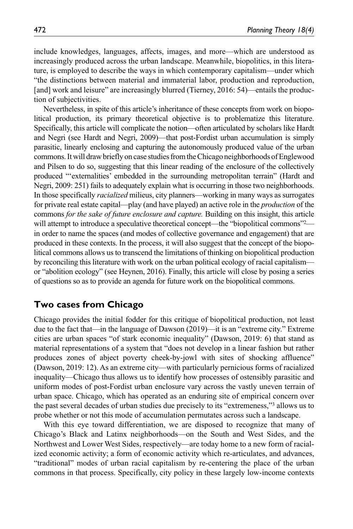include knowledges, languages, affects, images, and more—which are understood as increasingly produced across the urban landscape. Meanwhile, biopolitics, in this literature, is employed to describe the ways in which contemporary capitalism—under which "the distinctions between material and immaterial labor, production and reproduction, [and] work and leisure" are increasingly blurred (Tierney, 2016: 54)—entails the production of subjectivities.

Nevertheless, in spite of this article's inheritance of these concepts from work on biopolitical production, its primary theoretical objective is to problematize this literature. Specifically, this article will complicate the notion—often articulated by scholars like Hardt and Negri (see Hardt and Negri, 2009)—that post-Fordist urban accumulation is simply parasitic, linearly enclosing and capturing the autonomously produced value of the urban commons. It will draw briefly on case studies from the Chicago neighborhoods of Englewood and Pilsen to do so, suggesting that this linear reading of the enclosure of the collectively produced "'externalities' embedded in the surrounding metropolitan terrain" (Hardt and Negri, 2009: 251) fails to adequately explain what is occurring in those two neighborhoods. In those specifically *racialized* milieus, city planners—working in many ways as surrogates for private real estate capital—play (and have played) an active role in the *production* of the commons *for the sake of future enclosure and capture.* Building on this insight, this article will attempt to introduce a speculative theoretical concept—the "biopolitical commons"<sup>2</sup> in order to name the spaces (and modes of collective governance and engagement) that are produced in these contexts. In the process, it will also suggest that the concept of the biopolitical commons allows us to transcend the limitations of thinking on biopolitical production by reconciling this literature with work on the urban political ecology of racial capitalism or "abolition ecology" (see Heynen, 2016). Finally, this article will close by posing a series of questions so as to provide an agenda for future work on the biopolitical commons.

## **Two cases from Chicago**

Chicago provides the initial fodder for this critique of biopolitical production, not least due to the fact that—in the language of Dawson (2019)—it is an "extreme city." Extreme cities are urban spaces "of stark economic inequality" (Dawson, 2019: 6) that stand as material representations of a system that "does not develop in a linear fashion but rather produces zones of abject poverty cheek-by-jowl with sites of shocking affluence" (Dawson, 2019: 12). As an extreme city—with particularly pernicious forms of racialized inequality—Chicago thus allows us to identify how processes of ostensibly parasitic and uniform modes of post-Fordist urban enclosure vary across the vastly uneven terrain of urban space. Chicago, which has operated as an enduring site of empirical concern over the past several decades of urban studies due precisely to its "extremeness,"3 allows us to probe whether or not this mode of accumulation permutates across such a landscape.

With this eye toward differentiation, we are disposed to recognize that many of Chicago's Black and Latinx neighborhoods—on the South and West Sides, and the Northwest and Lower West Sides, respectively—are today home to a new form of racialized economic activity; a form of economic activity which re-articulates, and advances, "traditional" modes of urban racial capitalism by re-centering the place of the urban commons in that process. Specifically, city policy in these largely low-income contexts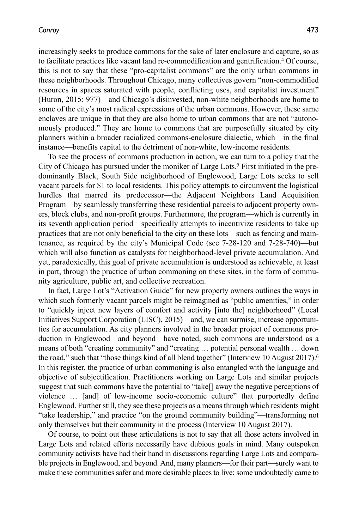increasingly seeks to produce commons for the sake of later enclosure and capture, so as to facilitate practices like vacant land re-commodification and gentrification.4 Of course, this is not to say that these "pro-capitalist commons" are the only urban commons in these neighborhoods. Throughout Chicago, many collectives govern "non-commodified resources in spaces saturated with people, conflicting uses, and capitalist investment" (Huron, 2015: 977)—and Chicago's disinvested, non-white neighborhoods are home to some of the city's most radical expressions of the urban commons. However, these same enclaves are unique in that they are also home to urban commons that are not "autonomously produced." They are home to commons that are purposefully situated by city planners within a broader racialized commons-enclosure dialectic, which—in the final instance—benefits capital to the detriment of non-white, low-income residents.

To see the process of commons production in action, we can turn to a policy that the City of Chicago has pursued under the moniker of Large Lots.<sup>5</sup> First initiated in the predominantly Black, South Side neighborhood of Englewood, Large Lots seeks to sell vacant parcels for \$1 to local residents. This policy attempts to circumvent the logistical hurdles that marred its predecessor—the Adjacent Neighbors Land Acquisition Program—by seamlessly transferring these residential parcels to adjacent property owners, block clubs, and non-profit groups. Furthermore, the program—which is currently in its seventh application period—specifically attempts to incentivize residents to take up practices that are not only beneficial to the city on these lots—such as fencing and maintenance, as required by the city's Municipal Code (see 7-28-120 and 7-28-740)—but which will also function as catalysts for neighborhood-level private accumulation. And yet, paradoxically, this goal of private accumulation is understood as achievable, at least in part, through the practice of urban commoning on these sites, in the form of community agriculture, public art, and collective recreation.

In fact, Large Lot's "Activation Guide" for new property owners outlines the ways in which such formerly vacant parcels might be reimagined as "public amenities," in order to "quickly inject new layers of comfort and activity [into the] neighborhood" (Local Initiatives Support Corporation (LISC), 2015)—and, we can surmise, increase opportunities for accumulation. As city planners involved in the broader project of commons production in Englewood—and beyond—have noted, such commons are understood as a means of both "creating community" and "creating … potential personal wealth … down the road," such that "those things kind of all blend together" (Interview 10 August 2017).<sup>6</sup> In this register, the practice of urban commoning is also entangled with the language and objective of subjectification. Practitioners working on Large Lots and similar projects suggest that such commons have the potential to "take[] away the negative perceptions of violence … [and] of low-income socio-economic culture" that purportedly define Englewood. Further still, they see these projects as a means through which residents might "take leadership," and practice "on the ground community building"—transforming not only themselves but their community in the process (Interview 10 August 2017).

Of course, to point out these articulations is not to say that all those actors involved in Large Lots and related efforts necessarily have dubious goals in mind. Many outspoken community activists have had their hand in discussions regarding Large Lots and comparable projects in Englewood, and beyond. And, many planners—for their part—surely want to make these communities safer and more desirable places to live; some undoubtedly came to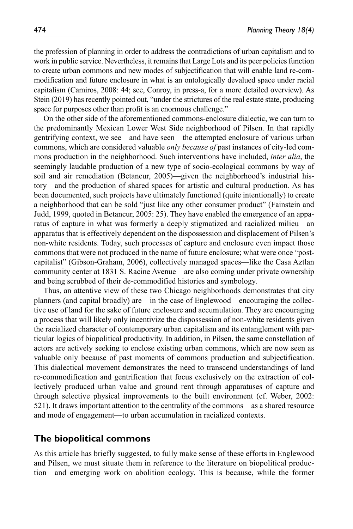the profession of planning in order to address the contradictions of urban capitalism and to work in public service. Nevertheless, it remains that Large Lots and its peer policies function to create urban commons and new modes of subjectification that will enable land re-commodification and future enclosure in what is an ontologically devalued space under racial capitalism (Camiros, 2008: 44; see, Conroy, in press-a, for a more detailed overview). As Stein (2019) has recently pointed out, "under the strictures of the real estate state, producing space for purposes other than profit is an enormous challenge."

On the other side of the aforementioned commons-enclosure dialectic, we can turn to the predominantly Mexican Lower West Side neighborhood of Pilsen. In that rapidly gentrifying context, we see—and have seen—the attempted enclosure of various urban commons, which are considered valuable *only because of* past instances of city-led commons production in the neighborhood. Such interventions have included, *inter alia*, the seemingly laudable production of a new type of socio-ecological commons by way of soil and air remediation (Betancur, 2005)—given the neighborhood's industrial history—and the production of shared spaces for artistic and cultural production. As has been documented, such projects have ultimately functioned (quite intentionally) to create a neighborhood that can be sold "just like any other consumer product" (Fainstein and Judd, 1999, quoted in Betancur, 2005: 25). They have enabled the emergence of an apparatus of capture in what was formerly a deeply stigmatized and racialized milieu—an apparatus that is effectively dependent on the dispossession and displacement of Pilsen's non-white residents. Today, such processes of capture and enclosure even impact those commons that were not produced in the name of future enclosure; what were once "postcapitalist" (Gibson-Graham, 2006), collectively managed spaces—like the Casa Aztlan community center at 1831 S. Racine Avenue—are also coming under private ownership and being scrubbed of their de-commodified histories and symbology.

Thus, an attentive view of these two Chicago neighborhoods demonstrates that city planners (and capital broadly) are—in the case of Englewood—encouraging the collective use of land for the sake of future enclosure and accumulation. They are encouraging a process that will likely only incentivize the dispossession of non-white residents given the racialized character of contemporary urban capitalism and its entanglement with particular logics of biopolitical productivity. In addition, in Pilsen, the same constellation of actors are actively seeking to enclose existing urban commons, which are now seen as valuable only because of past moments of commons production and subjectification. This dialectical movement demonstrates the need to transcend understandings of land re-commodification and gentrification that focus exclusively on the extraction of collectively produced urban value and ground rent through apparatuses of capture and through selective physical improvements to the built environment (cf. Weber, 2002: 521). It draws important attention to the centrality of the commons—as a shared resource and mode of engagement—to urban accumulation in racialized contexts.

## **The biopolitical commons**

As this article has briefly suggested, to fully make sense of these efforts in Englewood and Pilsen, we must situate them in reference to the literature on biopolitical production—and emerging work on abolition ecology. This is because, while the former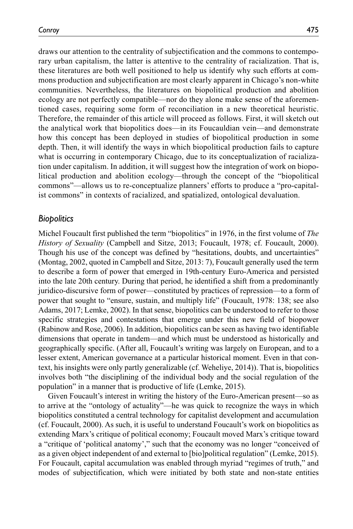draws our attention to the centrality of subjectification and the commons to contemporary urban capitalism, the latter is attentive to the centrality of racialization. That is, these literatures are both well positioned to help us identify why such efforts at commons production and subjectification are most clearly apparent in Chicago's non-white communities. Nevertheless, the literatures on biopolitical production and abolition ecology are not perfectly compatible—nor do they alone make sense of the aforementioned cases, requiring some form of reconciliation in a new theoretical heuristic. Therefore, the remainder of this article will proceed as follows. First, it will sketch out the analytical work that biopolitics does—in its Foucauldian vein—and demonstrate how this concept has been deployed in studies of biopolitical production in some depth. Then, it will identify the ways in which biopolitical production fails to capture what is occurring in contemporary Chicago, due to its conceptualization of racialization under capitalism. In addition, it will suggest how the integration of work on biopolitical production and abolition ecology—through the concept of the "biopolitical commons"—allows us to re-conceptualize planners' efforts to produce a "pro-capitalist commons" in contexts of racialized, and spatialized, ontological devaluation.

## *Biopolitics*

Michel Foucault first published the term "biopolitics" in 1976, in the first volume of *The History of Sexuality* (Campbell and Sitze, 2013; Foucault, 1978; cf. Foucault, 2000). Though his use of the concept was defined by "hesitations, doubts, and uncertainties" (Montag, 2002, quoted in Campbell and Sitze, 2013: 7), Foucault generally used the term to describe a form of power that emerged in 19th-century Euro-America and persisted into the late 20th century. During that period, he identified a shift from a predominantly juridico-discursive form of power—constituted by practices of repression—to a form of power that sought to "ensure, sustain, and multiply life" (Foucault, 1978: 138; see also Adams, 2017; Lemke, 2002). In that sense, biopolitics can be understood to refer to those specific strategies and contestations that emerge under this new field of biopower (Rabinow and Rose, 2006). In addition, biopolitics can be seen as having two identifiable dimensions that operate in tandem—and which must be understood as historically and geographically specific. (After all, Foucault's writing was largely on European, and to a lesser extent, American governance at a particular historical moment. Even in that context, his insights were only partly generalizable (cf. Weheliye, 2014)). That is, biopolitics involves both "the disciplining of the individual body and the social regulation of the population" in a manner that is productive of life (Lemke, 2015).

Given Foucault's interest in writing the history of the Euro-American present—so as to arrive at the "ontology of actuality"—he was quick to recognize the ways in which biopolitics constituted a central technology for capitalist development and accumulation (cf. Foucault, 2000). As such, it is useful to understand Foucault's work on biopolitics as extending Marx's critique of political economy; Foucault moved Marx's critique toward a "critique of 'political anatomy'," such that the economy was no longer "conceived of as a given object independent of and external to [bio]political regulation" (Lemke, 2015). For Foucault, capital accumulation was enabled through myriad "regimes of truth," and modes of subjectification, which were initiated by both state and non-state entities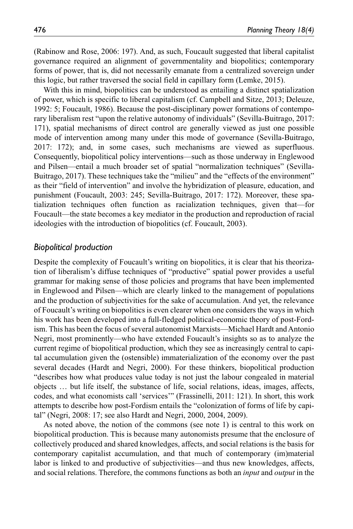(Rabinow and Rose, 2006: 197). And, as such, Foucault suggested that liberal capitalist governance required an alignment of governmentality and biopolitics; contemporary forms of power, that is, did not necessarily emanate from a centralized sovereign under this logic, but rather traversed the social field in capillary form (Lemke, 2015).

With this in mind, biopolitics can be understood as entailing a distinct spatialization of power, which is specific to liberal capitalism (cf. Campbell and Sitze, 2013; Deleuze, 1992: 5; Foucault, 1986). Because the post-disciplinary power formations of contemporary liberalism rest "upon the relative autonomy of individuals" (Sevilla-Buitrago, 2017: 171), spatial mechanisms of direct control are generally viewed as just one possible mode of intervention among many under this mode of governance (Sevilla-Buitrago, 2017: 172); and, in some cases, such mechanisms are viewed as superfluous. Consequently, biopolitical policy interventions—such as those underway in Englewood and Pilsen—entail a much broader set of spatial "normalization techniques" (Sevilla-Buitrago, 2017). These techniques take the "milieu" and the "effects of the environment" as their "field of intervention" and involve the hybridization of pleasure, education, and punishment (Foucault, 2003: 245; Sevilla-Buitrago, 2017: 172). Moreover, these spatialization techniques often function as racialization techniques, given that—for Foucault—the state becomes a key mediator in the production and reproduction of racial ideologies with the introduction of biopolitics (cf. Foucault, 2003).

#### *Biopolitical production*

Despite the complexity of Foucault's writing on biopolitics, it is clear that his theorization of liberalism's diffuse techniques of "productive" spatial power provides a useful grammar for making sense of those policies and programs that have been implemented in Englewood and Pilsen—which are clearly linked to the management of populations and the production of subjectivities for the sake of accumulation. And yet, the relevance of Foucault's writing on biopolitics is even clearer when one considers the ways in which his work has been developed into a full-fledged political-economic theory of post-Fordism. This has been the focus of several autonomist Marxists—Michael Hardt and Antonio Negri, most prominently—who have extended Foucault's insights so as to analyze the current regime of biopolitical production, which they see as increasingly central to capital accumulation given the (ostensible) immaterialization of the economy over the past several decades (Hardt and Negri, 2000). For these thinkers, biopolitical production "describes how what produces value today is not just the labour congealed in material objects … but life itself, the substance of life, social relations, ideas, images, affects, codes, and what economists call 'services'" (Frassinelli, 2011: 121). In short, this work attempts to describe how post-Fordism entails the "colonization of forms of life by capital" (Negri, 2008: 17; see also Hardt and Negri, 2000, 2004, 2009).

As noted above, the notion of the commons (see note 1) is central to this work on biopolitical production. This is because many autonomists presume that the enclosure of collectively produced and shared knowledges, affects, and social relations is the basis for contemporary capitalist accumulation, and that much of contemporary (im)material labor is linked to and productive of subjectivities—and thus new knowledges, affects, and social relations. Therefore, the commons functions as both an *input* and *output* in the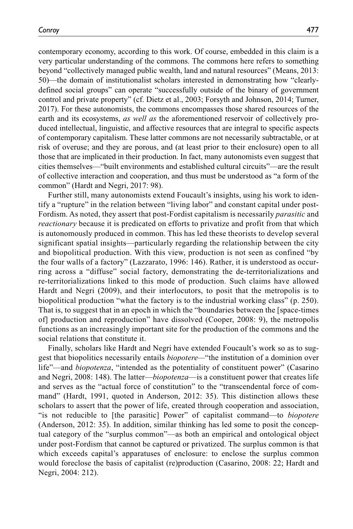contemporary economy, according to this work. Of course, embedded in this claim is a very particular understanding of the commons. The commons here refers to something beyond "collectively managed public wealth, land and natural resources" (Means, 2013: 50)—the domain of institutionalist scholars interested in demonstrating how "clearlydefined social groups" can operate "successfully outside of the binary of government control and private property" (cf. Dietz et al., 2003; Forsyth and Johnson, 2014; Turner, 2017). For these autonomists, the commons encompasses those shared resources of the earth and its ecosystems, *as well as* the aforementioned reservoir of collectively produced intellectual, linguistic, and affective resources that are integral to specific aspects of contemporary capitalism. These latter commons are not necessarily subtractable, or at risk of overuse; and they are porous, and (at least prior to their enclosure) open to all those that are implicated in their production. In fact, many autonomists even suggest that cities themselves—"built environments and established cultural circuits"—are the result of collective interaction and cooperation, and thus must be understood as "a form of the common" (Hardt and Negri, 2017: 98).

Further still, many autonomists extend Foucault's insights, using his work to identify a "rupture" in the relation between "living labor" and constant capital under post-Fordism. As noted, they assert that post-Fordist capitalism is necessarily *parasitic* and *reactionary* because it is predicated on efforts to privatize and profit from that which is autonomously produced in common. This has led these theorists to develop several significant spatial insights—particularly regarding the relationship between the city and biopolitical production. With this view, production is not seen as confined "by the four walls of a factory" (Lazzarato, 1996: 146). Rather, it is understood as occurring across a "diffuse" social factory, demonstrating the de-territorializations and re-territorializations linked to this mode of production. Such claims have allowed Hardt and Negri (2009), and their interlocutors, to posit that the metropolis is to biopolitical production "what the factory is to the industrial working class" (p. 250). That is, to suggest that in an epoch in which the "boundaries between the [space-times of] production and reproduction" have dissolved (Cooper, 2008: 9), the metropolis functions as an increasingly important site for the production of the commons and the social relations that constitute it.

Finally, scholars like Hardt and Negri have extended Foucault's work so as to suggest that biopolitics necessarily entails *biopotere—*"the institution of a dominion over life"—and *biopotenza*, "intended as the potentiality of constituent power" (Casarino and Negri, 2008: 148). The latter—*biopotenza*—is a constituent power that creates life and serves as the "actual force of constitution" to the "transcendental force of command" (Hardt, 1991, quoted in Anderson, 2012: 35). This distinction allows these scholars to assert that the power of life, created through cooperation and association, "is not reducible to [the parasitic] Power" of capitalist command—to *biopotere* (Anderson, 2012: 35). In addition, similar thinking has led some to posit the conceptual category of the "surplus common"—as both an empirical and ontological object under post-Fordism that cannot be captured or privatized. The surplus common is that which exceeds capital's apparatuses of enclosure: to enclose the surplus common would foreclose the basis of capitalist (re)production (Casarino, 2008: 22; Hardt and Negri, 2004: 212).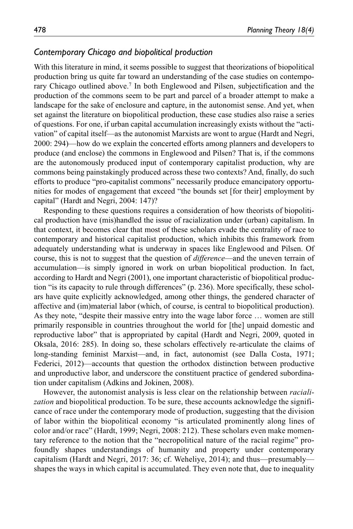## *Contemporary Chicago and biopolitical production*

With this literature in mind, it seems possible to suggest that theorizations of biopolitical production bring us quite far toward an understanding of the case studies on contemporary Chicago outlined above.7 In both Englewood and Pilsen, subjectification and the production of the commons seem to be part and parcel of a broader attempt to make a landscape for the sake of enclosure and capture, in the autonomist sense. And yet, when set against the literature on biopolitical production, these case studies also raise a series of questions. For one, if urban capital accumulation increasingly exists without the "activation" of capital itself—as the autonomist Marxists are wont to argue (Hardt and Negri, 2000: 294)—how do we explain the concerted efforts among planners and developers to produce (and enclose) the commons in Englewood and Pilsen? That is, if the commons are the autonomously produced input of contemporary capitalist production, why are commons being painstakingly produced across these two contexts? And, finally, do such efforts to produce "pro-capitalist commons" necessarily produce emancipatory opportunities for modes of engagement that exceed "the bounds set [for their] employment by capital" (Hardt and Negri, 2004: 147)?

Responding to these questions requires a consideration of how theorists of biopolitical production have (mis)handled the issue of racialization under (urban) capitalism. In that context, it becomes clear that most of these scholars evade the centrality of race to contemporary and historical capitalist production, which inhibits this framework from adequately understanding what is underway in spaces like Englewood and Pilsen. Of course, this is not to suggest that the question of *difference*—and the uneven terrain of accumulation—is simply ignored in work on urban biopolitical production. In fact, according to Hardt and Negri (2001), one important characteristic of biopolitical production "is its capacity to rule through differences" (p. 236). More specifically, these scholars have quite explicitly acknowledged, among other things, the gendered character of affective and (im)material labor (which, of course, is central to biopolitical production). As they note, "despite their massive entry into the wage labor force … women are still primarily responsible in countries throughout the world for [the] unpaid domestic and reproductive labor" that is appropriated by capital (Hardt and Negri, 2009, quoted in Oksala, 2016: 285). In doing so, these scholars effectively re-articulate the claims of long-standing feminist Marxist—and, in fact, autonomist (see Dalla Costa, 1971; Federici, 2012)—accounts that question the orthodox distinction between productive and unproductive labor, and underscore the constituent practice of gendered subordination under capitalism (Adkins and Jokinen, 2008).

However, the autonomist analysis is less clear on the relationship between *racialization* and biopolitical production. To be sure, these accounts acknowledge the significance of race under the contemporary mode of production, suggesting that the division of labor within the biopolitical economy "is articulated prominently along lines of color and/or race" (Hardt, 1999; Negri, 2008: 212). These scholars even make momentary reference to the notion that the "necropolitical nature of the racial regime" profoundly shapes understandings of humanity and property under contemporary capitalism (Hardt and Negri, 2017: 36; cf. Weheliye, 2014); and thus—presumably shapes the ways in which capital is accumulated. They even note that, due to inequality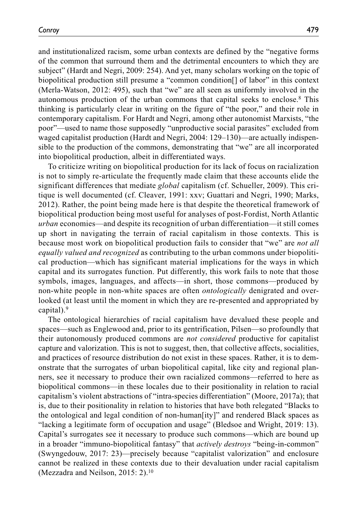and institutionalized racism, some urban contexts are defined by the "negative forms of the common that surround them and the detrimental encounters to which they are subject" (Hardt and Negri, 2009: 254). And yet, many scholars working on the topic of biopolitical production still presume a "common condition[] of labor" in this context (Merla-Watson, 2012: 495), such that "we" are all seen as uniformly involved in the autonomous production of the urban commons that capital seeks to enclose.8 This thinking is particularly clear in writing on the figure of "the poor," and their role in contemporary capitalism. For Hardt and Negri, among other autonomist Marxists, "the poor"—used to name those supposedly "unproductive social parasites" excluded from waged capitalist production (Hardt and Negri, 2004: 129–130)—are actually indispensible to the production of the commons, demonstrating that "we" are all incorporated into biopolitical production, albeit in differentiated ways.

To criticize writing on biopolitical production for its lack of focus on racialization is not to simply re-articulate the frequently made claim that these accounts elide the significant differences that mediate *global* capitalism (cf. Schueller, 2009). This critique is well documented (cf. Cleaver, 1991: xxv; Guattari and Negri, 1990; Marks, 2012). Rather, the point being made here is that despite the theoretical framework of biopolitical production being most useful for analyses of post-Fordist, North Atlantic *urban* economies—and despite its recognition of urban differentiation—it still comes up short in navigating the terrain of racial capitalism in those contexts. This is because most work on biopolitical production fails to consider that "we" are *not all equally valued and recognized* as contributing to the urban commons under biopolitical production—which has significant material implications for the ways in which capital and its surrogates function. Put differently, this work fails to note that those symbols, images, languages, and affects—in short, those commons—produced by non-white people in non-white spaces are often *ontologically* denigrated and overlooked (at least until the moment in which they are re-presented and appropriated by capital).9

The ontological hierarchies of racial capitalism have devalued these people and spaces—such as Englewood and, prior to its gentrification, Pilsen—so profoundly that their autonomously produced commons are *not considered* productive for capitalist capture and valorization. This is not to suggest, then, that collective affects, socialities, and practices of resource distribution do not exist in these spaces. Rather, it is to demonstrate that the surrogates of urban biopolitical capital, like city and regional planners, see it necessary to produce their own racialized commons—referred to here as biopolitical commons—in these locales due to their positionality in relation to racial capitalism's violent abstractions of "intra-species differentiation" (Moore, 2017a); that is, due to their positionality in relation to histories that have both relegated "Blacks to the ontological and legal condition of non-human[ity]" and rendered Black spaces as "lacking a legitimate form of occupation and usage" (Bledsoe and Wright, 2019: 13). Capital's surrogates see it necessary to produce such commons—which are bound up in a broader "immuno-biopolitical fantasy" that *actively destroys* "being-in-common" (Swyngedouw, 2017: 23)—precisely because "capitalist valorization" and enclosure cannot be realized in these contexts due to their devaluation under racial capitalism (Mezzadra and Neilson, 2015: 2).10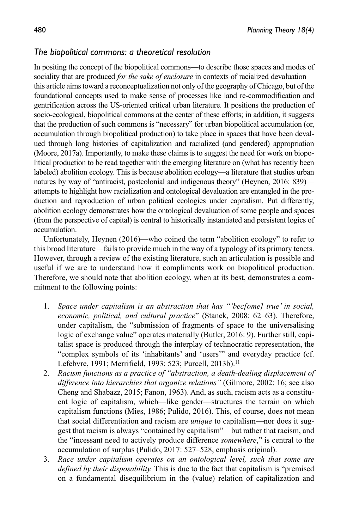## *The biopolitical commons: a theoretical resolution*

In positing the concept of the biopolitical commons—to describe those spaces and modes of sociality that are produced *for the sake of enclosure* in contexts of racialized devaluationthis article aims toward a reconceptualization not only of the geography of Chicago, but of the foundational concepts used to make sense of processes like land re-commodification and gentrification across the US-oriented critical urban literature. It positions the production of socio-ecological, biopolitical commons at the center of these efforts; in addition, it suggests that the production of such commons is "necessary" for urban biopolitical accumulation (or, accumulation through biopolitical production) to take place in spaces that have been devalued through long histories of capitalization and racialized (and gendered) appropriation (Moore, 2017a). Importantly, to make these claims is to suggest the need for work on biopolitical production to be read together with the emerging literature on (what has recently been labeled) abolition ecology. This is because abolition ecology—a literature that studies urban natures by way of "antiracist, postcolonial and indigenous theory" (Heynen, 2016: 839) attempts to highlight how racialization and ontological devaluation are entangled in the production and reproduction of urban political ecologies under capitalism. Put differently, abolition ecology demonstrates how the ontological devaluation of some people and spaces (from the perspective of capital) is central to historically instantiated and persistent logics of accumulation.

Unfortunately, Heynen (2016)—who coined the term "abolition ecology" to refer to this broad literature—fails to provide much in the way of a typology of its primary tenets. However, through a review of the existing literature, such an articulation is possible and useful if we are to understand how it compliments work on biopolitical production. Therefore, we should note that abolition ecology, when at its best, demonstrates a commitment to the following points:

- 1. *Space under capitalism is an abstraction that has "'bec[ome] true' in social, economic, political, and cultural practice*" (Stanek, 2008: 62–63). Therefore, under capitalism, the "submission of fragments of space to the universalising logic of exchange value" operates materially (Butler, 2016: 9). Further still, capitalist space is produced through the interplay of technocratic representation, the "complex symbols of its 'inhabitants' and 'users'" and everyday practice (cf. Lefebvre, 1991; Merrifield, 1993: 523; Purcell, 2013b).11
- 2. *Racism functions as a practice of "abstraction, a death-dealing displacement of difference into hierarchies that organize relations"* (Gilmore, 2002: 16; see also Cheng and Shabazz, 2015; Fanon, 1963). And, as such, racism acts as a constituent logic of capitalism, which—like gender—structures the terrain on which capitalism functions (Mies, 1986; Pulido, 2016). This, of course, does not mean that social differentiation and racism are *unique* to capitalism—nor does it suggest that racism is always "contained by capitalism"—but rather that racism, and the "incessant need to actively produce difference *somewhere*," is central to the accumulation of surplus (Pulido, 2017: 527–528, emphasis original).
- 3. *Race under capitalism operates on an ontological level, such that some are defined by their disposability.* This is due to the fact that capitalism is "premised on a fundamental disequilibrium in the (value) relation of capitalization and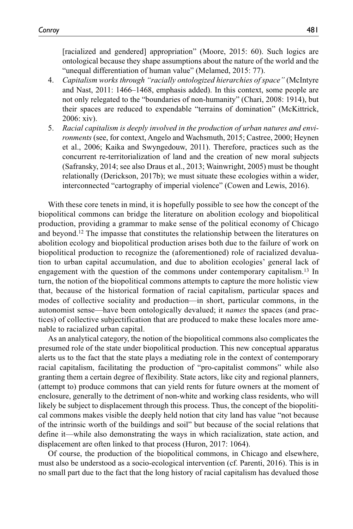[racialized and gendered] appropriation" (Moore, 2015: 60). Such logics are ontological because they shape assumptions about the nature of the world and the "unequal differentiation of human value" (Melamed, 2015: 77).

- 4. *Capitalism works through "racially ontologized hierarchies of space"* (McIntyre and Nast, 2011: 1466–1468, emphasis added). In this context, some people are not only relegated to the "boundaries of non-humanity" (Chari, 2008: 1914), but their spaces are reduced to expendable "terrains of domination" (McKittrick, 2006: xiv).
- 5. *Racial capitalism is deeply involved in the production of urban natures and environments* (see, for context, Angelo and Wachsmuth, 2015; Castree, 2000; Heynen et al., 2006; Kaika and Swyngedouw, 2011). Therefore, practices such as the concurrent re-territorialization of land and the creation of new moral subjects (Safransky, 2014; see also Draus et al., 2013; Wainwright, 2005) must be thought relationally (Derickson, 2017b); we must situate these ecologies within a wider, interconnected "cartography of imperial violence" (Cowen and Lewis, 2016).

With these core tenets in mind, it is hopefully possible to see how the concept of the biopolitical commons can bridge the literature on abolition ecology and biopolitical production, providing a grammar to make sense of the political economy of Chicago and beyond.12 The impasse that constitutes the relationship between the literatures on abolition ecology and biopolitical production arises both due to the failure of work on biopolitical production to recognize the (aforementioned) role of racialized devaluation to urban capital accumulation, and due to abolition ecologies' general lack of engagement with the question of the commons under contemporary capitalism.13 In turn, the notion of the biopolitical commons attempts to capture the more holistic view that, because of the historical formation of racial capitalism, particular spaces and modes of collective sociality and production—in short, particular commons, in the autonomist sense—have been ontologically devalued; it *names* the spaces (and practices) of collective subjectification that are produced to make these locales more amenable to racialized urban capital.

As an analytical category, the notion of the biopolitical commons also complicates the presumed role of the state under biopolitical production. This new conceptual apparatus alerts us to the fact that the state plays a mediating role in the context of contemporary racial capitalism, facilitating the production of "pro-capitalist commons" while also granting them a certain degree of flexibility. State actors, like city and regional planners, (attempt to) produce commons that can yield rents for future owners at the moment of enclosure, generally to the detriment of non-white and working class residents, who will likely be subject to displacement through this process. Thus, the concept of the biopolitical commons makes visible the deeply held notion that city land has value "not because of the intrinsic worth of the buildings and soil" but because of the social relations that define it—while also demonstrating the ways in which racialization, state action, and displacement are often linked to that process (Huron, 2017: 1064).

Of course, the production of the biopolitical commons, in Chicago and elsewhere, must also be understood as a socio-ecological intervention (cf. Parenti, 2016). This is in no small part due to the fact that the long history of racial capitalism has devalued those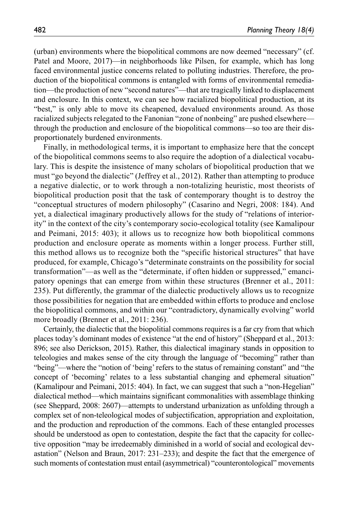(urban) environments where the biopolitical commons are now deemed "necessary" (cf. Patel and Moore, 2017)—in neighborhoods like Pilsen, for example, which has long faced environmental justice concerns related to polluting industries. Therefore, the production of the biopolitical commons is entangled with forms of environmental remediation—the production of new "second natures"—that are tragically linked to displacement and enclosure. In this context, we can see how racialized biopolitical production, at its "best," is only able to move its cheapened, devalued environments around. As those racialized subjects relegated to the Fanonian "zone of nonbeing" are pushed elsewhere through the production and enclosure of the biopolitical commons—so too are their disproportionately burdened environments.

Finally, in methodological terms, it is important to emphasize here that the concept of the biopolitical commons seems to also require the adoption of a dialectical vocabulary. This is despite the insistence of many scholars of biopolitical production that we must "go beyond the dialectic" (Jeffrey et al., 2012). Rather than attempting to produce a negative dialectic, or to work through a non-totalizing heuristic, most theorists of biopolitical production posit that the task of contemporary thought is to destroy the "conceptual structures of modern philosophy" (Casarino and Negri, 2008: 184). And yet, a dialectical imaginary productively allows for the study of "relations of interiority" in the context of the city's contemporary socio-ecological totality (see Kamalipour and Peimani, 2015: 403); it allows us to recognize how both biopolitical commons production and enclosure operate as moments within a longer process. Further still, this method allows us to recognize both the "specific historical structures" that have produced, for example, Chicago's "determinate constraints on the possibility for social transformation"—as well as the "determinate, if often hidden or suppressed," emancipatory openings that can emerge from within these structures (Brenner et al., 2011: 235). Put differently, the grammar of the dialectic productively allows us to recognize those possibilities for negation that are embedded within efforts to produce and enclose the biopolitical commons, and within our "contradictory, dynamically evolving" world more broadly (Brenner et al., 2011: 236).

Certainly, the dialectic that the biopolitial commons requires is a far cry from that which places today's dominant modes of existence "at the end of history" (Sheppard et al., 2013: 896; see also Derickson, 2015). Rather, this dialectical imaginary stands in opposition to teleologies and makes sense of the city through the language of "becoming" rather than "being"—where the "notion of 'being' refers to the status of remaining constant" and "the concept of 'becoming' relates to a less substantial changing and ephemeral situation" (Kamalipour and Peimani, 2015: 404). In fact, we can suggest that such a "non-Hegelian" dialectical method—which maintains significant commonalities with assemblage thinking (see Sheppard, 2008: 2607)—attempts to understand urbanization as unfolding through a complex set of non-teleological modes of subjectification, appropriation and exploitation, and the production and reproduction of the commons. Each of these entangled processes should be understood as open to contestation, despite the fact that the capacity for collective opposition "may be irredeemably diminished in a world of social and ecological devastation" (Nelson and Braun, 2017: 231–233); and despite the fact that the emergence of such moments of contestation must entail (asymmetrical) "counterontological" movements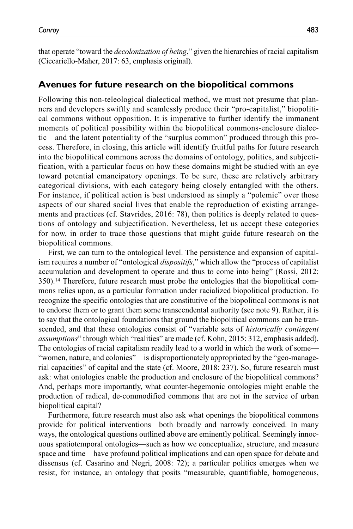that operate "toward the *decolonization of being*," given the hierarchies of racial capitalism (Ciccariello-Maher, 2017: 63, emphasis original).

#### **Avenues for future research on the biopolitical commons**

Following this non-teleological dialectical method, we must not presume that planners and developers swiftly and seamlessly produce their "pro-capitalist," biopolitical commons without opposition. It is imperative to further identify the immanent moments of political possibility within the biopolitical commons-enclosure dialectic—and the latent potentiality of the "surplus common" produced through this process. Therefore, in closing, this article will identify fruitful paths for future research into the biopolitical commons across the domains of ontology, politics, and subjectification, with a particular focus on how these domains might be studied with an eye toward potential emancipatory openings. To be sure, these are relatively arbitrary categorical divisions, with each category being closely entangled with the others. For instance, if political action is best understood as simply a "polemic" over those aspects of our shared social lives that enable the reproduction of existing arrangements and practices (cf. Stavrides, 2016: 78), then politics is deeply related to questions of ontology and subjectification. Nevertheless, let us accept these categories for now, in order to trace those questions that might guide future research on the biopolitical commons.

First, we can turn to the ontological level. The persistence and expansion of capitalism requires a number of "ontological *dispositifs*," which allow the "process of capitalist accumulation and development to operate and thus to come into being" (Rossi, 2012: 350).14 Therefore, future research must probe the ontologies that the biopolitical commons relies upon, as a particular formation under racialized biopolitical production. To recognize the specific ontologies that are constitutive of the biopolitical commons is not to endorse them or to grant them some transcendental authority (see note 9). Rather, it is to say that the ontological foundations that ground the biopolitical commons can be transcended, and that these ontologies consist of "variable sets of *historically contingent assumptions*" through which "realities" are made (cf. Kohn, 2015: 312, emphasis added). The ontologies of racial capitalism readily lead to a world in which the work of some— "women, nature, and colonies"—is disproportionately appropriated by the "geo-managerial capacities" of capital and the state (cf. Moore, 2018: 237). So, future research must ask: what ontologies enable the production and enclosure of the biopolitical commons? And, perhaps more importantly, what counter-hegemonic ontologies might enable the production of radical, de-commodified commons that are not in the service of urban biopolitical capital?

Furthermore, future research must also ask what openings the biopolitical commons provide for political interventions—both broadly and narrowly conceived. In many ways, the ontological questions outlined above are eminently political. Seemingly innocuous spatiotemporal ontologies—such as how we conceptualize, structure, and measure space and time—have profound political implications and can open space for debate and dissensus (cf. Casarino and Negri, 2008: 72); a particular politics emerges when we resist, for instance, an ontology that posits "measurable, quantifiable, homogeneous,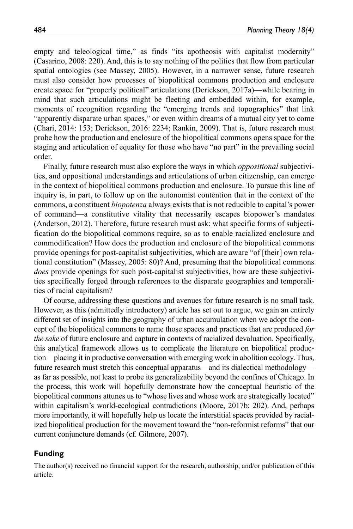empty and teleological time," as finds "its apotheosis with capitalist modernity" (Casarino, 2008: 220). And, this is to say nothing of the politics that flow from particular spatial ontologies (see Massey, 2005). However, in a narrower sense, future research must also consider how processes of biopolitical commons production and enclosure create space for "properly political" articulations (Derickson, 2017a)—while bearing in mind that such articulations might be fleeting and embedded within, for example, moments of recognition regarding the "emerging trends and topographies" that link "apparently disparate urban spaces," or even within dreams of a mutual city yet to come (Chari, 2014: 153; Derickson, 2016: 2234; Rankin, 2009). That is, future research must probe how the production and enclosure of the biopolitical commons opens space for the staging and articulation of equality for those who have "no part" in the prevailing social order.

Finally, future research must also explore the ways in which *oppositional* subjectivities, and oppositional understandings and articulations of urban citizenship, can emerge in the context of biopolitical commons production and enclosure. To pursue this line of inquiry is, in part, to follow up on the autonomist contention that in the context of the commons, a constituent *biopotenza* always exists that is not reducible to capital's power of command—a constitutive vitality that necessarily escapes biopower's mandates (Anderson, 2012). Therefore, future research must ask: what specific forms of subjectification do the biopolitical commons require, so as to enable racialized enclosure and commodification? How does the production and enclosure of the biopolitical commons provide openings for post-capitalist subjectivities, which are aware "of [their] own relational constitution" (Massey, 2005: 80)? And, presuming that the biopolitical commons *does* provide openings for such post-capitalist subjectivities, how are these subjectivities specifically forged through references to the disparate geographies and temporalities of racial capitalism?

Of course, addressing these questions and avenues for future research is no small task. However, as this (admittedly introductory) article has set out to argue, we gain an entirely different set of insights into the geography of urban accumulation when we adopt the concept of the biopolitical commons to name those spaces and practices that are produced *for the sake* of future enclosure and capture in contexts of racialized devaluation. Specifically, this analytical framework allows us to complicate the literature on biopolitical production—placing it in productive conversation with emerging work in abolition ecology. Thus, future research must stretch this conceptual apparatus—and its dialectical methodology as far as possible, not least to probe its generalizability beyond the confines of Chicago. In the process, this work will hopefully demonstrate how the conceptual heuristic of the biopolitical commons attunes us to "whose lives and whose work are strategically located" within capitalism's world-ecological contradictions (Moore, 2017b: 202). And, perhaps more importantly, it will hopefully help us locate the interstitial spaces provided by racialized biopolitical production for the movement toward the "non-reformist reforms" that our current conjuncture demands (cf. Gilmore, 2007).

#### **Funding**

The author(s) received no financial support for the research, authorship, and/or publication of this article.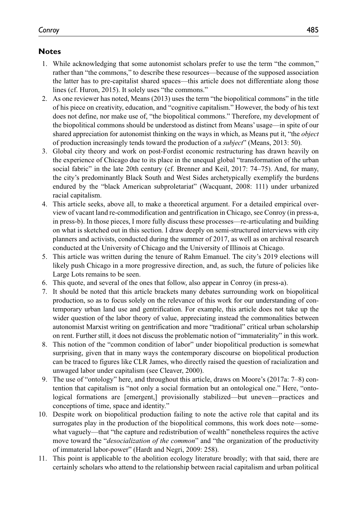## **Notes**

- 1. While acknowledging that some autonomist scholars prefer to use the term "the common," rather than "the commons," to describe these resources—because of the supposed association the latter has to pre-capitalist shared spaces—this article does not differentiate along those lines (cf. Huron, 2015). It solely uses "the commons."
- 2. As one reviewer has noted, Means (2013) uses the term "the biopolitical commons" in the title of his piece on creativity, education, and "cognitive capitalism." However, the body of his text does not define, nor make use of, "the biopolitical commons." Therefore, my development of the biopolitical commons should be understood as distinct from Means' usage—in spite of our shared appreciation for autonomist thinking on the ways in which, as Means put it, "the *object* of production increasingly tends toward the production of a *subject*" (Means, 2013: 50).
- 3. Global city theory and work on post-Fordist economic restructuring has drawn heavily on the experience of Chicago due to its place in the unequal global "transformation of the urban social fabric" in the late 20th century (cf. Brenner and Keil, 2017: 74–75). And, for many, the city's predominantly Black South and West Sides archetypically exemplify the burdens endured by the "black American subproletariat" (Wacquant, 2008: 111) under urbanized racial capitalism.
- 4. This article seeks, above all, to make a theoretical argument. For a detailed empirical overview of vacant land re-commodification and gentrification in Chicago, see Conroy (in press-a, in press-b). In those pieces, I more fully discuss these processes—re-articulating and building on what is sketched out in this section. I draw deeply on semi-structured interviews with city planners and activists, conducted during the summer of 2017, as well as on archival research conducted at the University of Chicago and the University of Illinois at Chicago.
- 5. This article was written during the tenure of Rahm Emanuel. The city's 2019 elections will likely push Chicago in a more progressive direction, and, as such, the future of policies like Large Lots remains to be seen.
- 6. This quote, and several of the ones that follow, also appear in Conroy (in press-a).
- 7. It should be noted that this article brackets many debates surrounding work on biopolitical production, so as to focus solely on the relevance of this work for our understanding of contemporary urban land use and gentrification. For example, this article does not take up the wider question of the labor theory of value, appreciating instead the commonalities between autonomist Marxist writing on gentrification and more "traditional" critical urban scholarship on rent. Further still, it does not discuss the problematic notion of "immateriality" in this work.
- 8. This notion of the "common condition of labor" under biopolitical production is somewhat surprising, given that in many ways the contemporary discourse on biopolitical production can be traced to figures like CLR James, who directly raised the question of racialization and unwaged labor under capitalism (see Cleaver, 2000).
- 9. The use of "ontology" here, and throughout this article, draws on Moore's (2017a: 7–8) contention that capitalism is "not only a social formation but an ontological one." Here, "ontological formations are [emergent,] provisionally stabilized—but uneven—practices and conceptions of time, space and identity."
- 10. Despite work on biopolitical production failing to note the active role that capital and its surrogates play in the production of the biopolitical commons, this work does note—somewhat vaguely—that "the capture and redistribution of wealth" nonetheless requires the active move toward the "*desocialization of the common*" and "the organization of the productivity of immaterial labor-power" (Hardt and Negri, 2009: 258).
- 11. This point is applicable to the abolition ecology literature broadly; with that said, there are certainly scholars who attend to the relationship between racial capitalism and urban political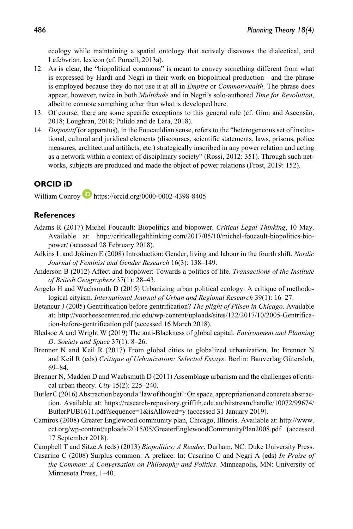ecology while maintaining a spatial ontology that actively disavows the dialectical, and Lefebvrian, lexicon (cf. Purcell, 2013a).

- 12. As is clear, the "biopolitical commons" is meant to convey something different from what is expressed by Hardt and Negri in their work on biopolitical production—and the phrase is employed because they do not use it at all in *Empire* or *Commonwealth*. The phrase does appear, however, twice in both *Multidude* and in Negri's solo-authored *Time for Revolution*, albeit to connote something other than what is developed here.
- 13. Of course, there are some specific exceptions to this general rule (cf. Ginn and Ascensão, 2018; Loughran, 2018; Pulido and de Lara, 2018).
- 14. *Dispositif* (or apparatus), in the Foucauldian sense, refers to the "heterogeneous set of institutional, cultural and juridical elements (discourses, scientific statements, laws, prisons, police measures, architectural artifacts, etc.) strategically inscribed in any power relation and acting as a network within a context of disciplinary society" (Rossi, 2012: 351). Through such networks, subjects are produced and made the object of power relations (Frost, 2019: 152).

## **ORCID iD**

William Conroy **b** <https://orcid.org/0000-0002-4398-8405>

#### **References**

- Adams R (2017) Michel Foucault: Biopolitics and biopower. *Critical Legal Thinking*, 10 May. Available at: [http://criticallegalthinking.com/2017/05/10/michel-foucault-biopolitics-bio](http://criticallegalthinking.com/2017/05/10/michel-foucault-biopolitics-biopower/)[power/](http://criticallegalthinking.com/2017/05/10/michel-foucault-biopolitics-biopower/) (accessed 28 February 2018).
- Adkins L and Jokinen E (2008) Introduction: Gender, living and labour in the fourth shift. *Nordic Journal of Feminist and Gender Research* 16(3): 138–149.
- Anderson B (2012) Affect and biopower: Towards a politics of life. *Transactions of the Institute of British Geographers* 37(1): 28–43.
- Angelo H and Wachsmuth D (2015) Urbanizing urban political ecology: A critique of methodological cityism. *International Journal of Urban and Regional Research* 39(1): 16–27.
- Betancur J (2005) Gentrification before gentrification? *The plight of Pilsen in Chicago*. Available at: [http://voorheescenter.red.uic.edu/wp-content/uploads/sites/122/2017/10/2005-Gentrifica](http://voorheescenter.red.uic.edu/wp-content/uploads/sites/122/2017/10/2005-Gentrification-before-gentrification.pdf)[tion-before-gentrification.pdf](http://voorheescenter.red.uic.edu/wp-content/uploads/sites/122/2017/10/2005-Gentrification-before-gentrification.pdf) (accessed 16 March 2018).
- Bledsoe A and Wright W (2019) The anti-Blackness of global capital. *Environment and Planning D: Society and Space* 37(1): 8–26.
- Brenner N and Keil R (2017) From global cities to globalized urbanization. In: Brenner N and Keil R (eds) *Critique of Urbanization: Selected Essays*. Berlin: Bauverlag Gütersloh, 69–84.
- Brenner N, Madden D and Wachsmuth D (2011) Assemblage urbanism and the challenges of critical urban theory. *City* 15(2): 225–240.
- Butler C (2016) Abstraction beyond a 'law of thought': On space, appropriation and concrete abstraction. Available at: [https://research-repository.griffith.edu.au/bitstream/handle/10072/99674/](https://research-repository.griffith.edu.au/bitstream/handle/10072/99674/ButlerPUB1611.pdf?sequence=1&isAllowed=y) [ButlerPUB1611.pdf?sequence=1&isAllowed=y](https://research-repository.griffith.edu.au/bitstream/handle/10072/99674/ButlerPUB1611.pdf?sequence=1&isAllowed=y) (accessed 31 January 2019).
- Camiros (2008) Greater Englewood community plan, Chicago, Illinois. Available at: [http://www.](http://www.cct.org/wp-content/uploads/2015/05/GreaterEnglewoodCommunityPlan2008.pdf) [cct.org/wp-content/uploads/2015/05/GreaterEnglewoodCommunityPlan2008.pdf](http://www.cct.org/wp-content/uploads/2015/05/GreaterEnglewoodCommunityPlan2008.pdf) (accessed 17 September 2018).

Campbell T and Sitze A (eds) (2013) *Biopolitics: A Reader*. Durham, NC: Duke University Press.

Casarino C (2008) Surplus common: A preface. In: Casarino C and Negri A (eds) *In Praise of the Common: A Conversation on Philosophy and Politics*. Minneapolis, MN: University of Minnesota Press, 1–40.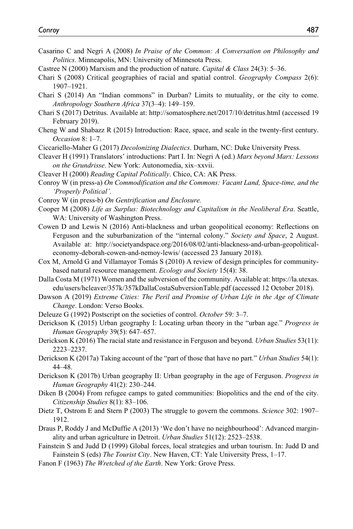- Casarino C and Negri A (2008) *In Praise of the Common: A Conversation on Philosophy and Politics*. Minneapolis, MN: University of Minnesota Press.
- Castree N (2000) Marxism and the production of nature. *Capital & Class* 24(3): 5–36.
- Chari S (2008) Critical geographies of racial and spatial control. *Geography Compass* 2(6): 1907–1921.
- Chari S (2014) An "Indian commons" in Durban? Limits to mutuality, or the city to come. *Anthropology Southern Africa* 37(3–4): 149–159.
- Chari S (2017) Detritus. Available at: <http://somatosphere.net/2017/10/detritus.html> (accessed 19 February 2019).
- Cheng W and Shabazz R (2015) Introduction: Race, space, and scale in the twenty-first century. *Occasion* 8: 1–7.
- Ciccariello-Maher G (2017) *Decolonizing Dialectics*. Durham, NC: Duke University Press.
- Cleaver H (1991) Translators' introductions: Part I. In: Negri A (ed.) *Marx beyond Marx: Lessons on the Grundrisse*. New York: Autonomedia, xix–xxvii.
- Cleaver H (2000) *Reading Capital Politically*. Chico, CA: AK Press.
- Conroy W (in press-a) *On Commodification and the Commons: Vacant Land, Space-time, and the 'Properly Political'*.
- Conroy W (in press-b) *On Gentrification and Enclosure.*
- Cooper M (2008) *Life as Surplus: Biotechnology and Capitalism in the Neoliberal Era*. Seattle, WA: University of Washington Press.
- Cowen D and Lewis N (2016) Anti-blackness and urban geopolitical economy: Reflections on Ferguson and the suburbanization of the "internal colony." *Society and Space*, 2 August. Available at: [http://societyandspace.org/2016/08/02/anti-blackness-and-urban-geopolitical](http://societyandspace.org/2016/08/02/anti-blackness-and-urban-geopolitical-economy-deborah-cowen-and-nemoy-lewis/)[economy-deborah-cowen-and-nemoy-lewis/](http://societyandspace.org/2016/08/02/anti-blackness-and-urban-geopolitical-economy-deborah-cowen-and-nemoy-lewis/) (accessed 23 January 2018).
- Cox M, Arnold G and Villamayor Tomás S (2010) A review of design principles for communitybased natural resource management. *Ecology and Society* 15(4): 38.
- Dalla Costa M (1971) Women and the subversion of the community. Available at: [https://la.utexas.](https://la.utexas.edu/users/hcleaver/357k/357kDallaCostaSubversionTable.pdf) [edu/users/hcleaver/357k/357kDallaCostaSubversionTable.pdf](https://la.utexas.edu/users/hcleaver/357k/357kDallaCostaSubversionTable.pdf) (accessed 12 October 2018).
- Dawson A (2019) *Extreme Cities: The Peril and Promise of Urban Life in the Age of Climate Change*. London: Verso Books.
- Deleuze G (1992) Postscript on the societies of control. *October* 59: 3–7.
- Derickson K (2015) Urban geography I: Locating urban theory in the "urban age." *Progress in Human Geography* 39(5): 647–657.
- Derickson K (2016) The racial state and resistance in Ferguson and beyond. *Urban Studies* 53(11): 2223–2237.
- Derickson K (2017a) Taking account of the "part of those that have no part." *Urban Studies* 54(1): 44–48.
- Derickson K (2017b) Urban geography II: Urban geography in the age of Ferguson. *Progress in Human Geography* 41(2): 230–244.
- Diken B (2004) From refugee camps to gated communities: Biopolitics and the end of the city. *Citizenship Studies* 8(1): 83–106.
- Dietz T, Ostrom E and Stern P (2003) The struggle to govern the commons. *Science* 302: 1907– 1912.
- Draus P, Roddy J and McDuffie A (2013) 'We don't have no neighbourhood': Advanced marginality and urban agriculture in Detroit. *Urban Studies* 51(12): 2523–2538.
- Fainstein S and Judd D (1999) Global forces, local strategies and urban tourism. In: Judd D and Fainstein S (eds) *The Tourist City*. New Haven, CT: Yale University Press, 1–17.
- Fanon F (1963) *The Wretched of the Earth*. New York: Grove Press.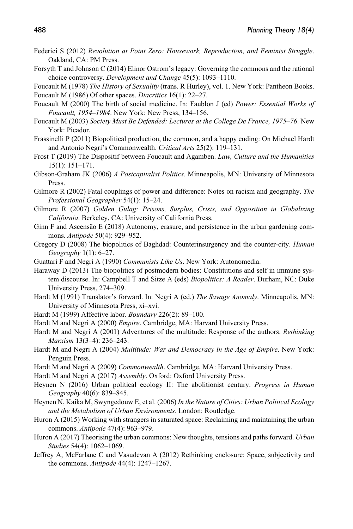- Federici S (2012) *Revolution at Point Zero: Housework, Reproduction, and Feminist Struggle*. Oakland, CA: PM Press.
- Forsyth T and Johnson C (2014) Elinor Ostrom's legacy: Governing the commons and the rational choice controversy. *Development and Change* 45(5): 1093–1110.

Foucault M (1978) *The History of Sexuality* (trans. R Hurley), vol. 1. New York: Pantheon Books. Foucault M (1986) Of other spaces. *Diacritics* 16(1): 22–27.

- Foucault M (2000) The birth of social medicine. In: Faublon J (ed) *Power: Essential Works of Foucault, 1954–1984*. New York: New Press, 134–156.
- Foucault M (2003) *Society Must Be Defended: Lectures at the College De France, 1975–76*. New York: Picador.
- Frassinelli P (2011) Biopolitical production, the common, and a happy ending: On Michael Hardt and Antonio Negri's Commonwealth. *Critical Arts* 25(2): 119–131.
- Frost T (2019) The Dispositif between Foucault and Agamben. *Law, Culture and the Humanities* 15(1): 151–171.
- Gibson-Graham JK (2006) *A Postcapitalist Politics*. Minneapolis, MN: University of Minnesota Press.
- Gilmore R (2002) Fatal couplings of power and difference: Notes on racism and geography. *The Professional Geographer* 54(1): 15–24.
- Gilmore R (2007) *Golden Gulag: Prisons, Surplus, Crisis, and Opposition in Globalizing California*. Berkeley, CA: University of California Press.
- Ginn F and Ascensão E (2018) Autonomy, erasure, and persistence in the urban gardening commons. *Antipode* 50(4): 929–952.
- Gregory D (2008) The biopolitics of Baghdad: Counterinsurgency and the counter-city. *Human Geography* 1(1): 6–27.
- Guattari F and Negri A (1990) *Communists Like Us*. New York: Autonomedia.
- Haraway D (2013) The biopolitics of postmodern bodies: Constitutions and self in immune system discourse. In: Campbell T and Sitze A (eds) *Biopolitics: A Reader*. Durham, NC: Duke University Press, 274–309.
- Hardt M (1991) Translator's forward. In: Negri A (ed.) *The Savage Anomaly*. Minneapolis, MN: University of Minnesota Press, xi–xvi.
- Hardt M (1999) Affective labor. *Boundary* 226(2): 89–100.
- Hardt M and Negri A (2000) *Empire*. Cambridge, MA: Harvard University Press.
- Hardt M and Negri A (2001) Adventures of the multitude: Response of the authors. *Rethinking Marxism* 13(3–4): 236–243.
- Hardt M and Negri A (2004) *Multitude: War and Democracy in the Age of Empire*. New York: Penguin Press.
- Hardt M and Negri A (2009) *Commonwealth*. Cambridge, MA: Harvard University Press.
- Hardt M and Negri A (2017) *Assembly*. Oxford: Oxford University Press.
- Heynen N (2016) Urban political ecology II: The abolitionist century. *Progress in Human Geography* 40(6): 839–845.
- Heynen N, Kaika M, Swyngedouw E, et al. (2006) *In the Nature of Cities: Urban Political Ecology and the Metabolism of Urban Environments*. London: Routledge.
- Huron A (2015) Working with strangers in saturated space: Reclaiming and maintaining the urban commons. *Antipode* 47(4): 963–979.
- Huron A (2017) Theorising the urban commons: New thoughts, tensions and paths forward. *Urban Studies* 54(4): 1062–1069.
- Jeffrey A, McFarlane C and Vasudevan A (2012) Rethinking enclosure: Space, subjectivity and the commons. *Antipode* 44(4): 1247–1267.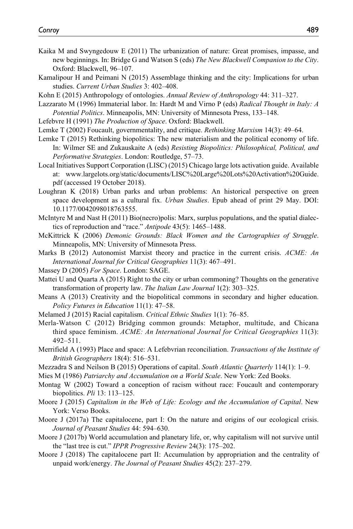- Kaika M and Swyngedouw E (2011) The urbanization of nature: Great promises, impasse, and new beginnings. In: Bridge G and Watson S (eds) *The New Blackwell Companion to the City*. Oxford: Blackwell, 96–107.
- Kamalipour H and Peimani N (2015) Assemblage thinking and the city: Implications for urban studies. *Current Urban Studies* 3: 402–408.
- Kohn E (2015) Anthropology of ontologies. *Annual Review of Anthropology* 44: 311–327.
- Lazzarato M (1996) Immaterial labor. In: Hardt M and Virno P (eds) *Radical Thought in Italy: A Potential Politics*. Minneapolis, MN: University of Minnesota Press, 133–148.
- Lefebvre H (1991) *The Production of Space*. Oxford: Blackwell.
- Lemke T (2002) Foucault, governmentality, and critique. *Rethinking Marxism* 14(3): 49–64.
- Lemke T (2015) Rethinking biopolitics: The new materialism and the political economy of life. In: Wilmer SE and Zukauskaite A (eds) *Resisting Biopolitics: Philosophical, Political, and Performative Strategies*. London: Routledge, 57–73.
- Local Initiatives Support Corporation (LISC) (2015) Chicago large lots activation guide. Available at: [www.largelots.org/static/documents/LISC%20Large%20Lots%20Activation%20Guide.](www.largelots.org/static/documents/LISC%20Large%20Lots%20Activation%20Guide.pdf) [pdf](www.largelots.org/static/documents/LISC%20Large%20Lots%20Activation%20Guide.pdf) (accessed 19 October 2018).
- Loughran K (2018) Urban parks and urban problems: An historical perspective on green space development as a cultural fix. *Urban Studies*. Epub ahead of print 29 May. DOI: 10.1177/0042098018763555.
- McIntyre M and Nast H (2011) Bio(necro)polis: Marx, surplus populations, and the spatial dialectics of reproduction and "race." *Antipode* 43(5): 1465–1488.
- McKittrick K (2006) *Demonic Grounds: Black Women and the Cartographies of Struggle*. Minneapolis, MN: University of Minnesota Press.
- Marks B (2012) Autonomist Marxist theory and practice in the current crisis. *ACME: An International Journal for Critical Geographies* 11(3): 467–491.
- Massey D (2005) *For Space*. London: SAGE.
- Mattei U and Quarta A (2015) Right to the city or urban commoning? Thoughts on the generative transformation of property law. *The Italian Law Journal* 1(2): 303–325.
- Means A (2013) Creativity and the biopolitical commons in secondary and higher education. *Policy Futures in Education* 11(1): 47–58.
- Melamed J (2015) Racial capitalism. *Critical Ethnic Studies* 1(1): 76–85.
- Merla-Watson C (2012) Bridging common grounds: Metaphor, multitude, and Chicana third space feminism. *ACME: An International Journal for Critical Geographies* 11(3): 492–511.
- Merrifield A (1993) Place and space: A Lefebvrian reconciliation. *Transactions of the Institute of British Geographers* 18(4): 516–531.
- Mezzadra S and Neilson B (2015) Operations of capital. *South Atlantic Quarterly* 114(1): 1–9.
- Mies M (1986) *Patriarchy and Accumulation on a World Scale*. New York: Zed Books.
- Montag W (2002) Toward a conception of racism without race: Foucault and contemporary biopolitics. *Pli* 13: 113–125.
- Moore J (2015) *Capitalism in the Web of Life: Ecology and the Accumulation of Capital*. New York: Verso Books.
- Moore J (2017a) The capitalocene, part I: On the nature and origins of our ecological crisis. *Journal of Peasant Studies* 44: 594–630.
- Moore J (2017b) World accumulation and planetary life, or, why capitalism will not survive until the "last tree is cut." *IPPR Progressive Review* 24(3): 175–202.
- Moore J (2018) The capitalocene part II: Accumulation by appropriation and the centrality of unpaid work/energy. *The Journal of Peasant Studies* 45(2): 237–279.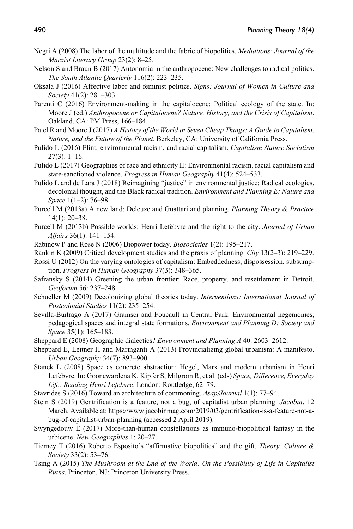- Negri A (2008) The labor of the multitude and the fabric of biopolitics. *Mediations: Journal of the Marxist Literary Group* 23(2): 8–25.
- Nelson S and Braun B (2017) Autonomia in the anthropocene: New challenges to radical politics. *The South Atlantic Quarterly* 116(2): 223–235.
- Oksala J (2016) Affective labor and feminist politics. *Signs: Journal of Women in Culture and Society* 41(2): 281–303.
- Parenti C (2016) Environment-making in the capitalocene: Political ecology of the state. In: Moore J (ed.) *Anthropocene or Capitalocene? Nature, History, and the Crisis of Capitalism*. Oakland, CA: PM Press, 166–184.
- Patel R and Moore J (2017) *A History of the World in Seven Cheap Things: A Guide to Capitalism, Nature, and the Future of the Planet*. Berkeley, CA: University of California Press.
- Pulido L (2016) Flint, environmental racism, and racial capitalism. *Capitalism Nature Socialism* 27(3): 1–16.
- Pulido L (2017) Geographies of race and ethnicity II: Environmental racism, racial capitalism and state-sanctioned violence. *Progress in Human Geography* 41(4): 524–533.
- Pulido L and de Lara J (2018) Reimagining "justice" in environmental justice: Radical ecologies, decolonial thought, and the Black radical tradition. *Environment and Planning E: Nature and Space* 1(1–2): 76–98.
- Purcell M (2013a) A new land: Deleuze and Guattari and planning. *Planning Theory & Practice* 14(1): 20–38.
- Purcell M (2013b) Possible worlds: Henri Lefebvre and the right to the city. *Journal of Urban Affairs* 36(1): 141–154.
- Rabinow P and Rose N (2006) Biopower today. *Biosocieties* 1(2): 195–217.
- Rankin K (2009) Critical development studies and the praxis of planning. *City* 13(2–3): 219–229.
- Rossi U (2012) On the varying ontologies of capitalism: Embeddedness, dispossession, subsumption. *Progress in Human Geography* 37(3): 348–365.
- Safransky S (2014) Greening the urban frontier: Race, property, and resettlement in Detroit. *Geoforum* 56: 237–248.
- Schueller M (2009) Decolonizing global theories today. *Interventions: International Journal of Postcolonial Studies* 11(2): 235–254.
- Sevilla-Buitrago A (2017) Gramsci and Foucault in Central Park: Environmental hegemonies, pedagogical spaces and integral state formations. *Environment and Planning D: Society and Space* 35(1): 165–183.
- Sheppard E (2008) Geographic dialectics? *Environment and Planning A* 40: 2603–2612.
- Sheppard E, Leitner H and Maringanti A (2013) Provincializing global urbanism: A manifesto. *Urban Geography* 34(7): 893–900.
- Stanek L (2008) Space as concrete abstraction: Hegel, Marx and modern urbanism in Henri Lefebvre. In: Goonewardena K, Kipfer S, Milgrom R, et al. (eds) *Space, Difference, Everyday Life: Reading Henri Lefebvre*. London: Routledge, 62–79.
- Stavrides S (2016) Toward an architecture of commoning. *Asap/Journal* 1(1): 77–94.
- Stein S (2019) Gentrification is a feature, not a bug, of capitalist urban planning. *Jacobin*, 12 March. Available at: [https://www.jacobinmag.com/2019/03/gentrification-is-a-feature-not-a](https://www.jacobinmag.com/2019/03/gentrification-is-a-feature-not-a-bug-of-capitalist-urban-planning)[bug-of-capitalist-urban-planning](https://www.jacobinmag.com/2019/03/gentrification-is-a-feature-not-a-bug-of-capitalist-urban-planning) (accessed 2 April 2019).
- Swyngedouw E (2017) More-than-human constellations as immuno-biopolitical fantasy in the urbicene. *New Geographies* 1: 20–27.
- Tierney T (2016) Roberto Esposito's "affirmative biopolitics" and the gift. *Theory, Culture & Society* 33(2): 53–76.
- Tsing A (2015) *The Mushroom at the End of the World: On the Possibility of Life in Capitalist Ruins*. Princeton, NJ: Princeton University Press.